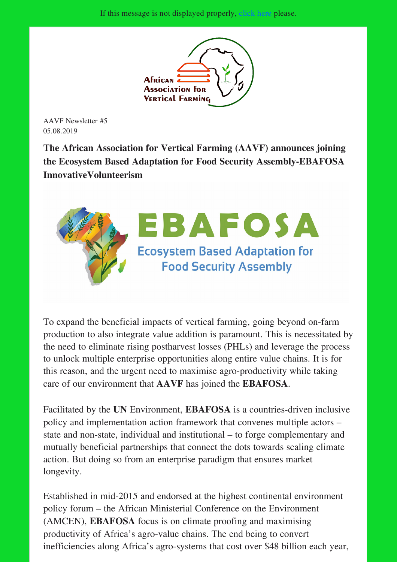

AAVF Newsletter #5 05.08.2019

The African Association for Vertical Farming (AAVF) announces joining the Ecosystem Based Adaptation for Food Security Assembly-EBAFOSA InnovativeVolunteerism



To expand the beneficial impacts of vertical farming, going beyond on-farm production to also integrate value addition is paramount. This is necessitated by the need to eliminate rising postharvest losses (PHLs) and leverage the process to unlock multiple enterprise opportunities along entire value chains. It is for this reason, and the urgent need to maximise agro-productivity while taking care of our environment that AAVF has joined the EBAFOSA.

Facilitated by the UN Environment, EBAFOSA is a countries-driven inclusive policy and implementation action framework that convenes multiple actors – state and non-state, individual and institutional – to forge complementary and mutually beneficial partnerships that connect the dots towards scaling climate action. But doing so from an enterprise paradigm that ensures market longevity.

Established in mid-2015 and endorsed at the highest continental environment policy forum – the African Ministerial Conference on the Environment (AMCEN), EBAFOSA focus is on climate proofing and maximising productivity of Africa's agro-value chains. The end being to convert inefficiencies along Africa's agro-systems that cost over \$48 billion each year,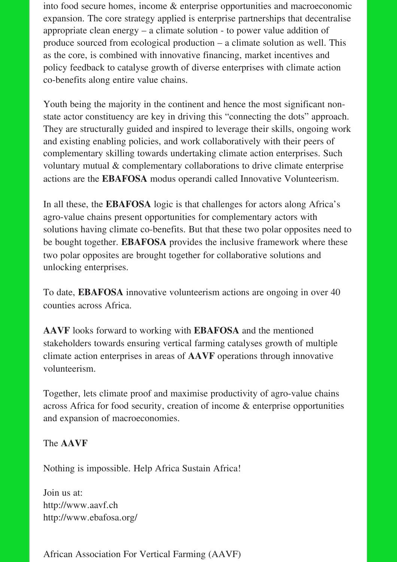into food secure homes, income & enterprise opportunities and macroeconomic expansion. The core strategy applied is enterprise partnerships that decentralise appropriate clean energy – a climate solution - to power value addition of produce sourced from ecological production – a climate solution as well. This as the core, is combined with innovative financing, market incentives and policy feedback to catalyse growth of diverse enterprises with climate action co-benefits along entire value chains.

Youth being the majority in the continent and hence the most significant nonstate actor constituency are key in driving this "connecting the dots" approach. They are structurally guided and inspired to leverage their skills, ongoing work and existing enabling policies, and work collaboratively with their peers of complementary skilling towards undertaking climate action enterprises. Such voluntary mutual & complementary collaborations to drive climate enterprise actions are the EBAFOSA modus operandi called Innovative Volunteerism.

In all these, the EBAFOSA logic is that challenges for actors along Africa's agro-value chains present opportunities for complementary actors with solutions having climate co-benefits. But that these two polar opposites need to be bought together. EBAFOSA provides the inclusive framework where these two polar opposites are brought together for collaborative solutions and unlocking enterprises.

To date, EBAFOSA innovative volunteerism actions are ongoing in over 40 counties across Africa.

AAVF looks forward to working with EBAFOSA and the mentioned stakeholders towards ensuring vertical farming catalyses growth of multiple climate action enterprises in areas of AAVF operations through innovative volunteerism.

Together, lets climate proof and maximise productivity of agro-value chains across Africa for food security, creation of income & enterprise opportunities and expansion of macroeconomies.

## The AAVF

Nothing is impossible. Help Africa Sustain Africa!

Join us at: http://www.aavf.ch http://www.ebafosa.org/

African Association For Vertical Farming (AAVF)